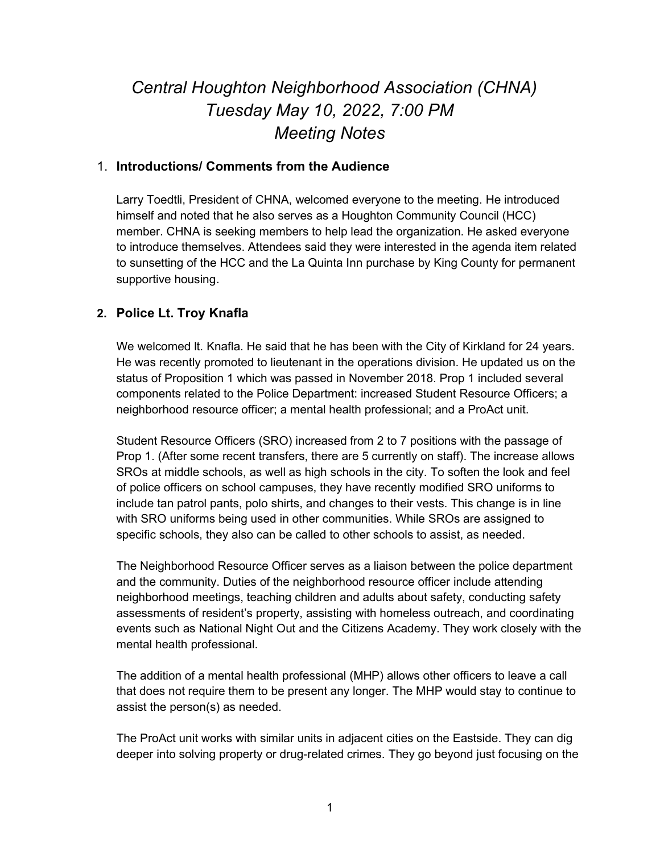# Central Houghton Neighborhood Association (CHNA) Tuesday May 10, 2022, 7:00 PM Meeting Notes

## 1. Introductions/ Comments from the Audience

Larry Toedtli, President of CHNA, welcomed everyone to the meeting. He introduced himself and noted that he also serves as a Houghton Community Council (HCC) member. CHNA is seeking members to help lead the organization. He asked everyone to introduce themselves. Attendees said they were interested in the agenda item related to sunsetting of the HCC and the La Quinta Inn purchase by King County for permanent supportive housing.

# 2. Police Lt. Troy Knafla

We welcomed lt. Knafla. He said that he has been with the City of Kirkland for 24 years. He was recently promoted to lieutenant in the operations division. He updated us on the status of Proposition 1 which was passed in November 2018. Prop 1 included several components related to the Police Department: increased Student Resource Officers; a neighborhood resource officer; a mental health professional; and a ProAct unit.

Student Resource Officers (SRO) increased from 2 to 7 positions with the passage of Prop 1. (After some recent transfers, there are 5 currently on staff). The increase allows SROs at middle schools, as well as high schools in the city. To soften the look and feel of police officers on school campuses, they have recently modified SRO uniforms to include tan patrol pants, polo shirts, and changes to their vests. This change is in line with SRO uniforms being used in other communities. While SROs are assigned to specific schools, they also can be called to other schools to assist, as needed.

The Neighborhood Resource Officer serves as a liaison between the police department and the community. Duties of the neighborhood resource officer include attending neighborhood meetings, teaching children and adults about safety, conducting safety assessments of resident's property, assisting with homeless outreach, and coordinating events such as National Night Out and the Citizens Academy. They work closely with the mental health professional.

The addition of a mental health professional (MHP) allows other officers to leave a call that does not require them to be present any longer. The MHP would stay to continue to assist the person(s) as needed.

The ProAct unit works with similar units in adjacent cities on the Eastside. They can dig deeper into solving property or drug-related crimes. They go beyond just focusing on the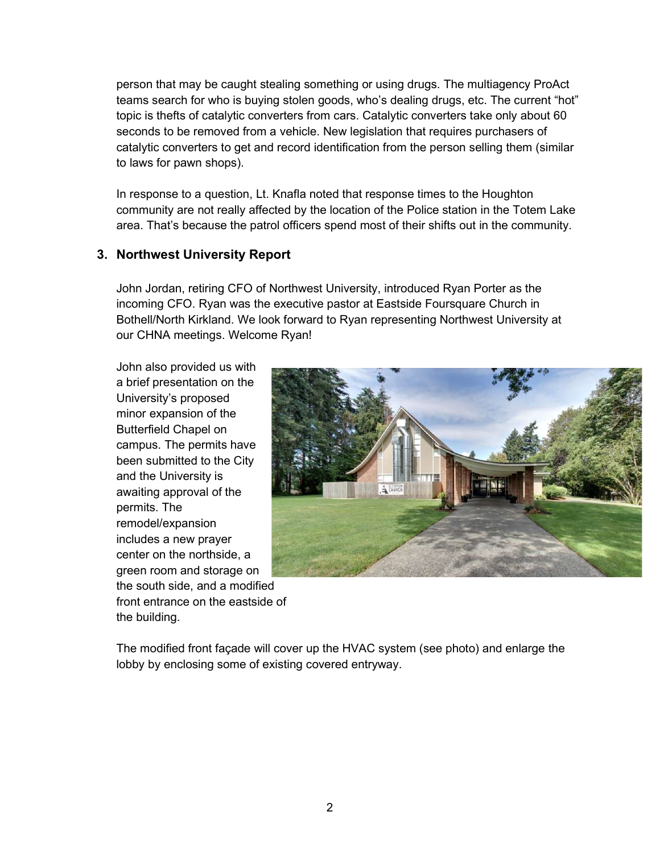person that may be caught stealing something or using drugs. The multiagency ProAct teams search for who is buying stolen goods, who's dealing drugs, etc. The current "hot" topic is thefts of catalytic converters from cars. Catalytic converters take only about 60 seconds to be removed from a vehicle. New legislation that requires purchasers of catalytic converters to get and record identification from the person selling them (similar to laws for pawn shops).

In response to a question, Lt. Knafla noted that response times to the Houghton community are not really affected by the location of the Police station in the Totem Lake area. That's because the patrol officers spend most of their shifts out in the community.

# 3. Northwest University Report

John Jordan, retiring CFO of Northwest University, introduced Ryan Porter as the incoming CFO. Ryan was the executive pastor at Eastside Foursquare Church in Bothell/North Kirkland. We look forward to Ryan representing Northwest University at our CHNA meetings. Welcome Ryan!

John also provided us with a brief presentation on the University's proposed minor expansion of the Butterfield Chapel on campus. The permits have been submitted to the City and the University is awaiting approval of the permits. The remodel/expansion includes a new prayer center on the northside, a green room and storage on the south side, and a modified front entrance on the eastside of the building.



The modified front façade will cover up the HVAC system (see photo) and enlarge the lobby by enclosing some of existing covered entryway.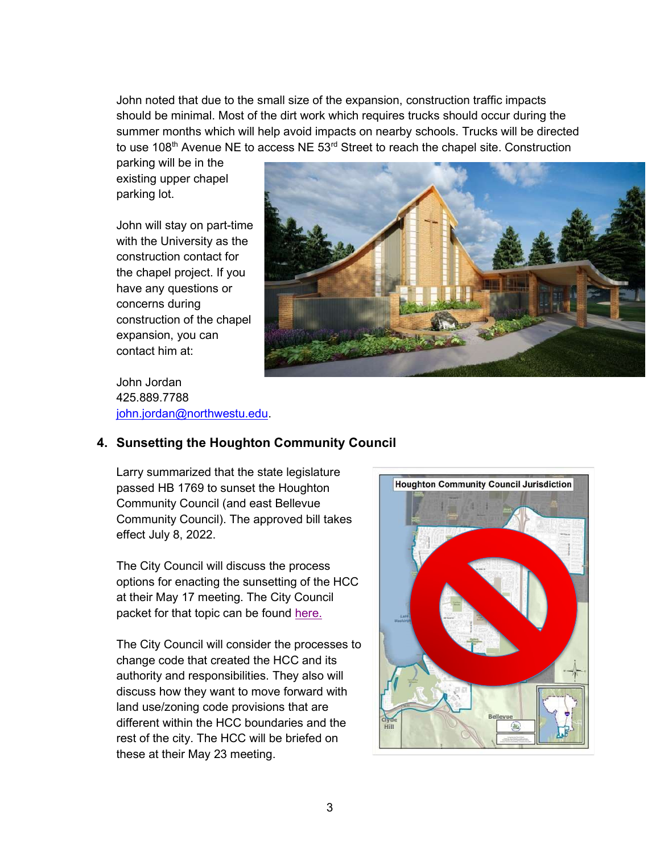John noted that due to the small size of the expansion, construction traffic impacts should be minimal. Most of the dirt work which requires trucks should occur during the summer months which will help avoid impacts on nearby schools. Trucks will be directed to use 108<sup>th</sup> Avenue NE to access NE 53<sup>rd</sup> Street to reach the chapel site. Construction

parking will be in the existing upper chapel parking lot.

John will stay on part-time with the University as the construction contact for the chapel project. If you have any questions or concerns during construction of the chapel expansion, you can contact him at:

John Jordan 425.889.7788 john.jordan@northwestu.edu.



# 4. Sunsetting the Houghton Community Council

Larry summarized that the state legislature passed HB 1769 to sunset the Houghton Community Council (and east Bellevue Community Council). The approved bill takes effect July 8, 2022.

The City Council will discuss the process options for enacting the sunsetting of the HCC at their May 17 meeting. The City Council packet for that topic can be found here.

The City Council will consider the processes to change code that created the HCC and its authority and responsibilities. They also will discuss how they want to move forward with land use/zoning code provisions that are different within the HCC boundaries and the rest of the city. The HCC will be briefed on these at their May 23 meeting.

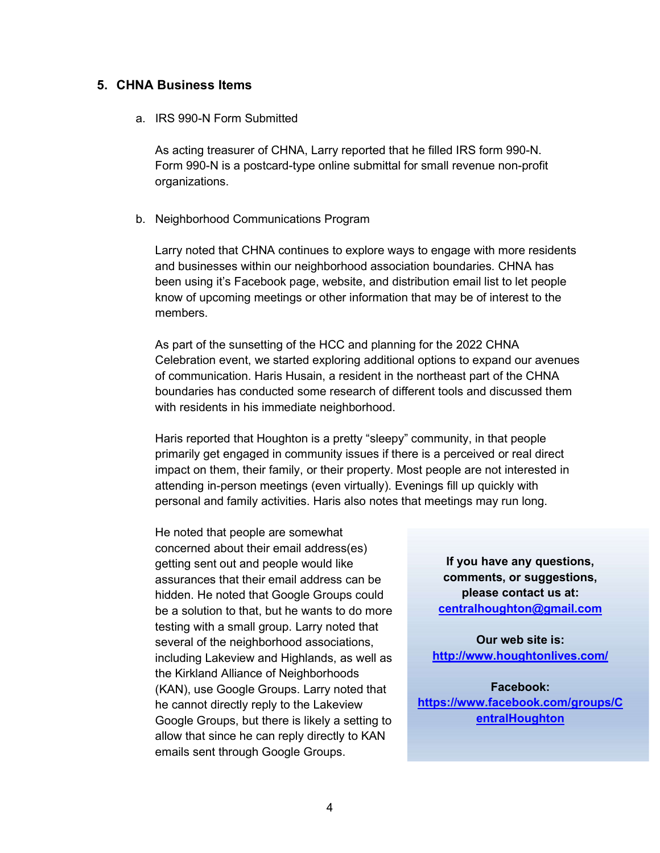#### 5. CHNA Business Items

#### a. IRS 990-N Form Submitted

As acting treasurer of CHNA, Larry reported that he filled IRS form 990-N. Form 990-N is a postcard-type online submittal for small revenue non-profit organizations.

#### b. Neighborhood Communications Program

Larry noted that CHNA continues to explore ways to engage with more residents and businesses within our neighborhood association boundaries. CHNA has been using it's Facebook page, website, and distribution email list to let people know of upcoming meetings or other information that may be of interest to the members.

As part of the sunsetting of the HCC and planning for the 2022 CHNA Celebration event, we started exploring additional options to expand our avenues of communication. Haris Husain, a resident in the northeast part of the CHNA boundaries has conducted some research of different tools and discussed them with residents in his immediate neighborhood.

Haris reported that Houghton is a pretty "sleepy" community, in that people primarily get engaged in community issues if there is a perceived or real direct impact on them, their family, or their property. Most people are not interested in attending in-person meetings (even virtually). Evenings fill up quickly with personal and family activities. Haris also notes that meetings may run long.

He noted that people are somewhat concerned about their email address(es) getting sent out and people would like assurances that their email address can be hidden. He noted that Google Groups could be a solution to that, but he wants to do more testing with a small group. Larry noted that several of the neighborhood associations, including Lakeview and Highlands, as well as the Kirkland Alliance of Neighborhoods (KAN), use Google Groups. Larry noted that he cannot directly reply to the Lakeview Google Groups, but there is likely a setting to allow that since he can reply directly to KAN emails sent through Google Groups.

If you have any questions, comments, or suggestions, please contact us at: centralhoughton@gmail.com

Our web site is: http://www.houghtonlives.com/

Facebook: https://www.facebook.com/groups/C entralHoughton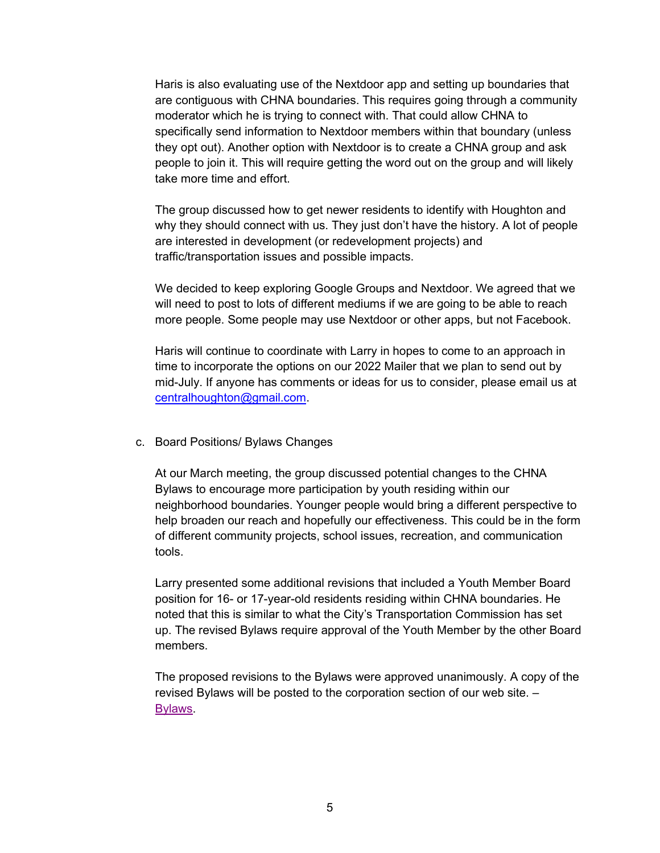Haris is also evaluating use of the Nextdoor app and setting up boundaries that are contiguous with CHNA boundaries. This requires going through a community moderator which he is trying to connect with. That could allow CHNA to specifically send information to Nextdoor members within that boundary (unless they opt out). Another option with Nextdoor is to create a CHNA group and ask people to join it. This will require getting the word out on the group and will likely take more time and effort.

The group discussed how to get newer residents to identify with Houghton and why they should connect with us. They just don't have the history. A lot of people are interested in development (or redevelopment projects) and traffic/transportation issues and possible impacts.

We decided to keep exploring Google Groups and Nextdoor. We agreed that we will need to post to lots of different mediums if we are going to be able to reach more people. Some people may use Nextdoor or other apps, but not Facebook.

Haris will continue to coordinate with Larry in hopes to come to an approach in time to incorporate the options on our 2022 Mailer that we plan to send out by mid-July. If anyone has comments or ideas for us to consider, please email us at centralhoughton@gmail.com.

c. Board Positions/ Bylaws Changes

At our March meeting, the group discussed potential changes to the CHNA Bylaws to encourage more participation by youth residing within our neighborhood boundaries. Younger people would bring a different perspective to help broaden our reach and hopefully our effectiveness. This could be in the form of different community projects, school issues, recreation, and communication tools.

Larry presented some additional revisions that included a Youth Member Board position for 16- or 17-year-old residents residing within CHNA boundaries. He noted that this is similar to what the City's Transportation Commission has set up. The revised Bylaws require approval of the Youth Member by the other Board members.

The proposed revisions to the Bylaws were approved unanimously. A copy of the revised Bylaws will be posted to the corporation section of our web site. – Bylaws.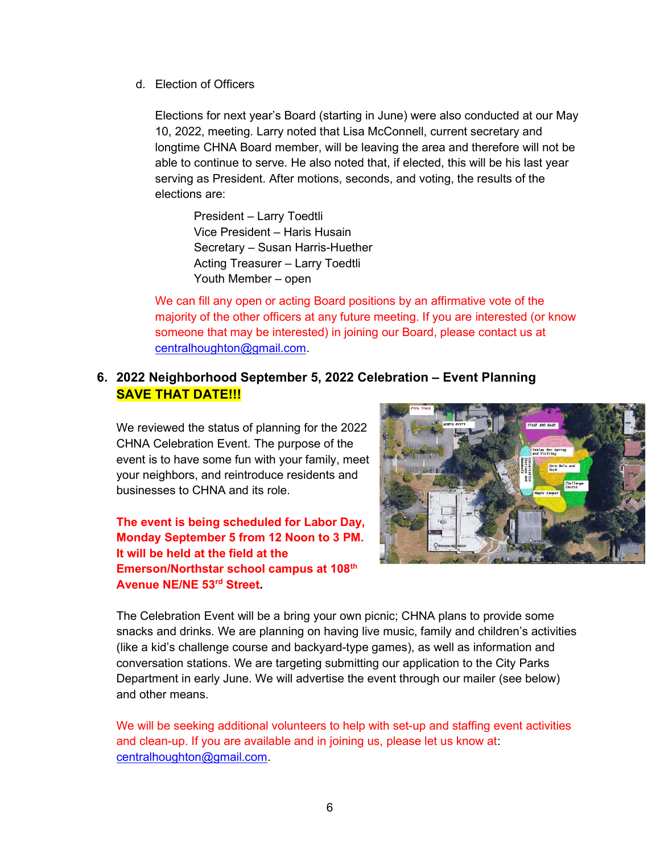d. Election of Officers

Elections for next year's Board (starting in June) were also conducted at our May 10, 2022, meeting. Larry noted that Lisa McConnell, current secretary and longtime CHNA Board member, will be leaving the area and therefore will not be able to continue to serve. He also noted that, if elected, this will be his last year serving as President. After motions, seconds, and voting, the results of the elections are:

President – Larry Toedtli Vice President – Haris Husain Secretary – Susan Harris-Huether Acting Treasurer – Larry Toedtli Youth Member – open

We can fill any open or acting Board positions by an affirmative vote of the majority of the other officers at any future meeting. If you are interested (or know someone that may be interested) in joining our Board, please contact us at centralhoughton@gmail.com.

# 6. 2022 Neighborhood September 5, 2022 Celebration – Event Planning SAVE THAT DATE!!!

We reviewed the status of planning for the 2022 CHNA Celebration Event. The purpose of the event is to have some fun with your family, meet your neighbors, and reintroduce residents and businesses to CHNA and its role.

# The event is being scheduled for Labor Day, Monday September 5 from 12 Noon to 3 PM. It will be held at the field at the Emerson/Northstar school campus at 108th Avenue NE/NE 53rd Street.



The Celebration Event will be a bring your own picnic; CHNA plans to provide some snacks and drinks. We are planning on having live music, family and children's activities (like a kid's challenge course and backyard-type games), as well as information and conversation stations. We are targeting submitting our application to the City Parks Department in early June. We will advertise the event through our mailer (see below) and other means.

We will be seeking additional volunteers to help with set-up and staffing event activities and clean-up. If you are available and in joining us, please let us know at: centralhoughton@gmail.com.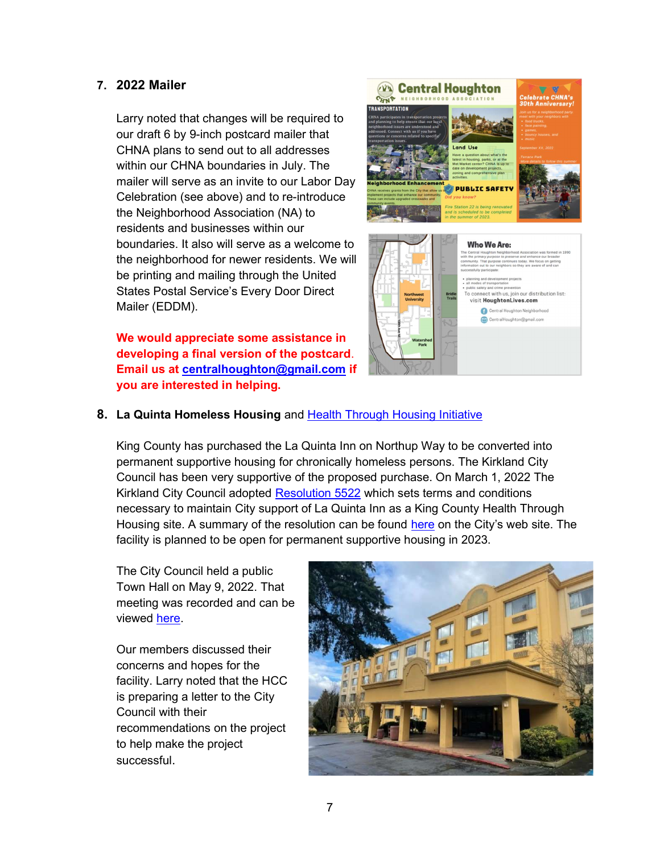## 7. 2022 Mailer

Larry noted that changes will be required to our draft 6 by 9-inch postcard mailer that CHNA plans to send out to all addresses within our CHNA boundaries in July. The mailer will serve as an invite to our Labor Day Celebration (see above) and to re-introduce the Neighborhood Association (NA) to residents and businesses within our boundaries. It also will serve as a welcome to the neighborhood for newer residents. We will be printing and mailing through the United States Postal Service's Every Door Direct Mailer (EDDM).

We would appreciate some assistance in developing a final version of the postcard. Email us at centralhoughton@gmail.com if you are interested in helping.





#### 8. La Quinta Homeless Housing and Health Through Housing Initiative

King County has purchased the La Quinta Inn on Northup Way to be converted into permanent supportive housing for chronically homeless persons. The Kirkland City Council has been very supportive of the proposed purchase. On March 1, 2022 The Kirkland City Council adopted Resolution 5522 which sets terms and conditions necessary to maintain City support of La Quinta Inn as a King County Health Through Housing site. A summary of the resolution can be found here on the City's web site. The facility is planned to be open for permanent supportive housing in 2023.

The City Council held a public Town Hall on May 9, 2022. That meeting was recorded and can be viewed here.

Our members discussed their concerns and hopes for the facility. Larry noted that the HCC is preparing a letter to the City Council with their recommendations on the project to help make the project successful.

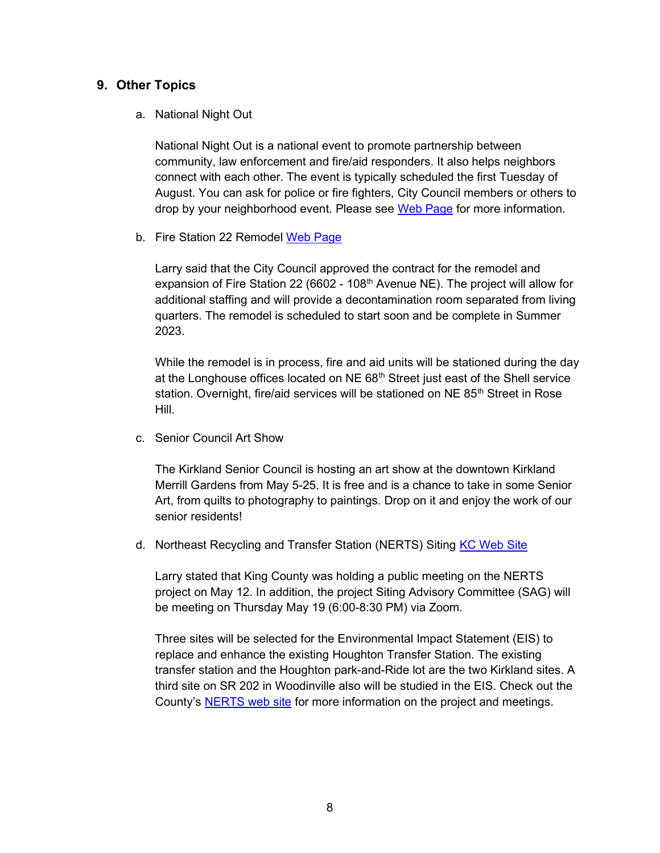#### 9. Other Topics

#### a. National Night Out

National Night Out is a national event to promote partnership between community, law enforcement and fire/aid responders. It also helps neighbors connect with each other. The event is typically scheduled the first Tuesday of August. You can ask for police or fire fighters, City Council members or others to drop by your neighborhood event. Please see Web Page for more information.

b. Fire Station 22 Remodel Web Page

Larry said that the City Council approved the contract for the remodel and expansion of Fire Station 22 (6602 - 108<sup>th</sup> Avenue NE). The project will allow for additional staffing and will provide a decontamination room separated from living quarters. The remodel is scheduled to start soon and be complete in Summer 2023.

While the remodel is in process, fire and aid units will be stationed during the day at the Longhouse offices located on  $NE 68<sup>th</sup>$  Street just east of the Shell service station. Overnight, fire/aid services will be stationed on NE 85<sup>th</sup> Street in Rose Hill.

c. Senior Council Art Show

The Kirkland Senior Council is hosting an art show at the downtown Kirkland Merrill Gardens from May 5-25. It is free and is a chance to take in some Senior Art, from quilts to photography to paintings. Drop on it and enjoy the work of our senior residents!

d. Northeast Recycling and Transfer Station (NERTS) Siting KC Web Site

Larry stated that King County was holding a public meeting on the NERTS project on May 12. In addition, the project Siting Advisory Committee (SAG) will be meeting on Thursday May 19 (6:00-8:30 PM) via Zoom.

Three sites will be selected for the Environmental Impact Statement (EIS) to replace and enhance the existing Houghton Transfer Station. The existing transfer station and the Houghton park-and-Ride lot are the two Kirkland sites. A third site on SR 202 in Woodinville also will be studied in the EIS. Check out the County's NERTS web site for more information on the project and meetings.